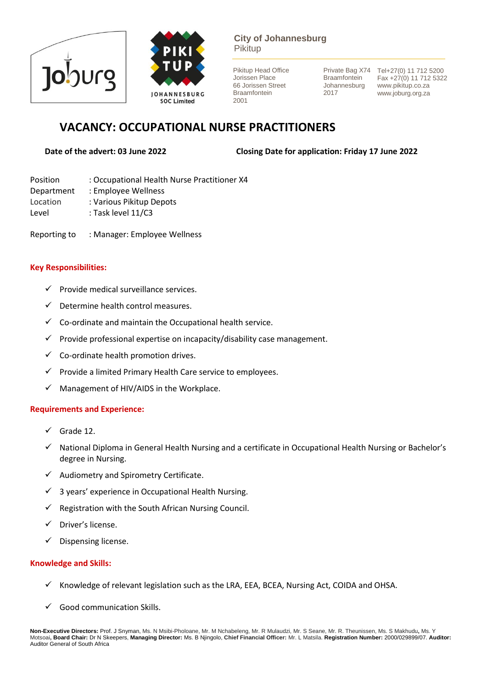



**City of Johannesburg** Pikitup

Pikitup Head Office Jorissen Place 66 Jorissen Street Braamfontein 2001

**Braamfontein** Johannesburg 2017

Private Bag X74 Tel+27(0) 11 712 5200 Fax +27(0) 11 712 5322 www.pikitup.co.za www.joburg.org.za

# **VACANCY: OCCUPATIONAL NURSE PRACTITIONERS**

**Date of the advert: 03 June 2022 Closing Date for application: Friday 17 June 2022** 

- Position : Occupational Health Nurse Practitioner X4
- Department : Employee Wellness
- Location : Various Pikitup Depots
- Level : Task level 11/C3

Reporting to : Manager: Employee Wellness

## **Key Responsibilities:**

- ✓ Provide medical surveillance services.
- $\checkmark$  Determine health control measures.
- $\checkmark$  Co-ordinate and maintain the Occupational health service.
- $\checkmark$  Provide professional expertise on incapacity/disability case management.
- $\checkmark$  Co-ordinate health promotion drives.
- $\checkmark$  Provide a limited Primary Health Care service to employees.
- $\checkmark$  Management of HIV/AIDS in the Workplace.

### **Requirements and Experience:**

- $\checkmark$  Grade 12.
- ✓ National Diploma in General Health Nursing and a certificate in Occupational Health Nursing or Bachelor's degree in Nursing.
- $\checkmark$  Audiometry and Spirometry Certificate.
- $\checkmark$  3 years' experience in Occupational Health Nursing.
- $\checkmark$  Registration with the South African Nursing Council.
- ✓ Driver's license.
- ✓ Dispensing license.

# **Knowledge and Skills:**

- ✓ Knowledge of relevant legislation such as the LRA, EEA, BCEA, Nursing Act, COIDA and OHSA.
- Good communication Skills.